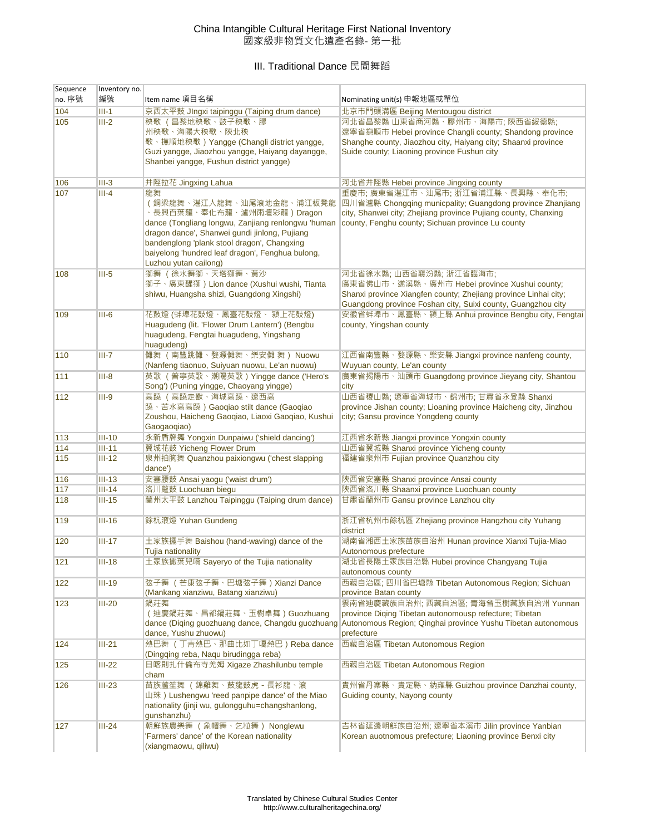## China Intangible Cultural Heritage First National Inventory 國家級非物質文化遺產名錄- 第一批

## III. Traditional Dance 民間舞蹈

| Sequence | Inventory no. |                                                                                                                                                                                                                                                                                                |                                                                                                                                                                                                                      |
|----------|---------------|------------------------------------------------------------------------------------------------------------------------------------------------------------------------------------------------------------------------------------------------------------------------------------------------|----------------------------------------------------------------------------------------------------------------------------------------------------------------------------------------------------------------------|
| no. 序號   | 編號            | Item name 項目名稱                                                                                                                                                                                                                                                                                 | Nominating unit(s) 申報地區或單位                                                                                                                                                                                           |
| 104      | $III-1$       | 京西太平鼓 JIngxi taipinggu (Taiping drum dance)                                                                                                                                                                                                                                                    | 北京市門頭溝區 Beijing Mentougou district                                                                                                                                                                                   |
| 105      | $III-2$       | 秧歌 (昌黎地秧歌、鼓子秧歌、膠<br>州秧歌、海陽大秧歌、陝北秧<br>歌、撫順地秧歌) Yangge (Changli district yangge,<br>Guzi yangge, Jiaozhou yangge, Haiyang dayangge,<br>Shanbei yangge, Fushun district yangge)                                                                                                                   | 河北省昌黎縣 山東省商河縣、膠州市、海陽市: 陝西省綏德縣:<br>遼寧省撫順市 Hebei province Changli county; Shandong province<br>Shanghe county, Jiaozhou city, Haiyang city; Shaanxi province<br>Suide county; Liaoning province Fushun city            |
| 106      | $III-3$       | 井陘拉花 Jingxing Lahua                                                                                                                                                                                                                                                                            | 河北省井陘縣 Hebei province Jingxing county                                                                                                                                                                                |
| 107      | $III-4$       | 龍舞<br>(銅梁龍舞、湛江人龍舞、汕尾滾地金龍、浦江板凳龍<br>、長興百葉龍、奉化布龍、瀘州雨壇彩龍)Dragon<br>dance (Tongliang longwu, Zanjiang renlongwu 'human<br>dragon dance', Shanwei gundi jinlong, Pujiang<br>bandenglong 'plank stool dragon', Changxing<br>baiyelong 'hundred leaf dragon', Fenghua bulong,<br>Luzhou yutan cailong) | 重慶市: 廣東省湛江市、汕尾市: 浙江省浦江縣、長興縣、奉化市:<br>四川省瀘縣 Chongging municpality; Guangdong province Zhanjiang<br>city, Shanwei city; Zhejiang province Pujiang county, Chanxing<br>county, Fenghu county; Sichuan province Lu county |
| 108      | $III-5$       | 獅舞 (徐水舞獅、天塔獅舞、黃沙<br>獅子、廣東醒獅) Lion dance (Xushui wushi, Tianta<br>shiwu, Huangsha shizi, Guangdong Xingshi)                                                                                                                                                                                     | 河北省徐水縣;山西省襄汾縣;浙江省臨海市;<br>廣東省佛山市、遂溪縣、廣州市 Hebei province Xushui county;<br>Shanxi province Xiangfen county; Zhejiang province Linhai city;<br>Guangdong province Foshan city, Suixi county, Guangzhou city             |
| 109      | $III-6$       | 花鼓燈 (蚌埠花鼓燈、鳳臺花鼓燈、 潁上花鼓燈)<br>Huagudeng (lit. 'Flower Drum Lantern') (Bengbu<br>huagudeng, Fengtai huagudeng, Yingshang<br>huagudeng)                                                                                                                                                            | 安徽省蚌埠市、鳳臺縣、潁上縣 Anhui province Bengbu city, Fengtai<br>county, Yingshan county                                                                                                                                        |
| 110      | $III - 7$     | 儺舞 (南豐跳儺、婺源儺舞、樂安儺 舞) Nuowu<br>(Nanfeng tiaonuo, Suiyuan nuowu, Le'an nuowu)                                                                                                                                                                                                                    | 江西省南豐縣、婺源縣、樂安縣 Jiangxi province nanfeng county,<br>Wuyuan county, Le'an county                                                                                                                                       |
| 111      | $III-8$       | 英歌 (普寧英歌、潮陽英歌) Yingge dance ('Hero's<br>Song') (Puning yingge, Chaoyang yingge)                                                                                                                                                                                                                | 廣東省揭陽市、汕頭市 Guangdong province Jieyang city, Shantou<br>city                                                                                                                                                          |
| 112      | $III-9$       | 高蹺 (高蹺走獸、海城高蹺、遼西高                                                                                                                                                                                                                                                                              | 山西省稷山縣; 遼寧省海城市、錦州市; 甘肅省永登縣 Shanxi                                                                                                                                                                                    |
|          |               | 蹺、苦水高高蹺)Gaoqiao stilt dance (Gaoqiao<br>Zoushou, Haicheng Gaoqiao, Liaoxi Gaoqiao, Kushui<br>Gaogaoqiao)                                                                                                                                                                                       | province Jishan county; Lioaning province Haicheng city, Jinzhou<br>city; Gansu province Yongdeng county                                                                                                             |
| 113      | $III-10$      | 永新盾牌舞 Yongxin Dunpaiwu ('shield dancing')                                                                                                                                                                                                                                                      | 江西省永新縣 Jiangxi province Yongxin county                                                                                                                                                                               |
| 114      | $III-11$      | 翼城花鼓 Yicheng Flower Drum                                                                                                                                                                                                                                                                       | 山西省翼城縣 Shanxi province Yicheng county                                                                                                                                                                                |
| 115      | $III-12$      | 泉州拍胸舞 Quanzhou paixiongwu ('chest slapping<br>dance')                                                                                                                                                                                                                                          | 福建省泉州市 Fujian province Quanzhou city                                                                                                                                                                                 |
| 116      | $III-13$      | 安塞腰鼓 Ansai yaogu ('waist drum')                                                                                                                                                                                                                                                                | 陝西省安塞縣 Shanxi province Ansai county                                                                                                                                                                                  |
| 117      | $III-14$      | 洛川蹩鼓 Luochuan biegu                                                                                                                                                                                                                                                                            | 陝西省洛川縣 Shaanxi province Luochuan county                                                                                                                                                                              |
| 118      | $III-15$      | 蘭州太平鼓 Lanzhou Taipinggu (Taiping drum dance)                                                                                                                                                                                                                                                   | 甘肅省蘭州市 Gansu province Lanzhou city                                                                                                                                                                                   |
| 119      | $III-16$      | 餘杭滾燈 Yuhan Gundeng                                                                                                                                                                                                                                                                             | 浙江省杭州市餘杭區 Zhejiang province Hangzhou city Yuhang<br>district                                                                                                                                                         |
| 120      | $III-17$      | 土家族擺手舞 Baishou (hand-waving) dance of the<br><b>Tujia nationality</b>                                                                                                                                                                                                                          | 湖南省湘西土家族苗族自治州 Hunan province Xianxi Tujia-Miao<br>Autonomous prefecture                                                                                                                                              |
| 121      | $III-18$      | 土家族撒葉兒嗬 Sayeryo of the Tujia nationality                                                                                                                                                                                                                                                       | 湖北省長陽土家族自治縣 Hubei province Changyang Tujia<br>autonomous county                                                                                                                                                      |
| 122      | $III-19$      | 弦子舞 (芒康弦子舞、巴塘弦子舞) Xianzi Dance<br>(Mankang xianziwu, Batang xianziwu)                                                                                                                                                                                                                          | 西藏自治區: 四川省巴塘縣 Tibetan Autonomous Region; Sichuan<br>province Batan county                                                                                                                                            |
| 123      | $III-20$      | 鍋莊舞<br>( 迪慶鍋莊舞、昌都鍋莊舞、玉樹卓舞 ) Guozhuang<br>dance (Diging guozhuang dance, Changdu guozhuang<br>dance, Yushu zhuowu)                                                                                                                                                                              | 雲南省迪慶藏族自治州;西藏自治區;青海省玉樹藏族自治州 Yunnan<br>province Diging Tibetan autonomousp refecture; Tibetan<br>Autonomous Region; Qinghai province Yushu Tibetan autonomous<br>prefecture                                           |
| 124      | $III-21$      | 熱巴舞 (丁青熱巴、那曲比如丁嘎熱巴) Reba dance<br>(Dingqing reba, Naqu birudingga reba)                                                                                                                                                                                                                        | 西藏自治區 Tibetan Autonomous Region                                                                                                                                                                                      |
| 125      | $III-22$      | 日喀則扎什倫布寺羌姆 Xigaze Zhashilunbu temple<br>cham                                                                                                                                                                                                                                                   | 西藏自治區 Tibetan Autonomous Region                                                                                                                                                                                      |
| 126      | $III-23$      | 苗族蘆笙舞 (錦雞舞、鼓龍鼓虎 - 長衫龍、滾<br>山珠) Lushengwu 'reed panpipe dance' of the Miao<br>nationality (jinji wu, gulongguhu=changshanlong,<br>gunshanzhu)                                                                                                                                                   | 貴州省丹寨縣、貴定縣、納雍縣 Guizhou province Danzhai county,<br>Guiding county, Nayong county                                                                                                                                     |
| 127      | $III-24$      | 朝鮮族農樂舞 (象帽舞、乞粒舞) Nonglewu<br>Farmers' dance' of the Korean nationality<br>(xiangmaowu, qiliwu)                                                                                                                                                                                                 | 吉林省延邊朝鮮族自治州; 遼寧省本溪市 Jilin province Yanbian<br>Korean auotnomous prefecture; Liaoning province Benxi city                                                                                                             |